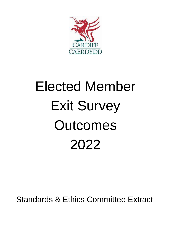

# Elected Member Exit Survey **Outcomes** 2022

Standards & Ethics Committee Extract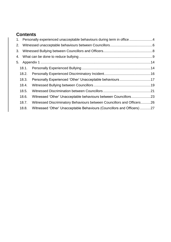# **Contents**

|    |       | 1. Personally experienced unacceptable behaviours during term in office 4 |  |
|----|-------|---------------------------------------------------------------------------|--|
| 2. |       |                                                                           |  |
| 3. |       |                                                                           |  |
|    |       |                                                                           |  |
| 5. |       |                                                                           |  |
|    | 18.1. |                                                                           |  |
|    | 18.2. |                                                                           |  |
|    | 18.3. |                                                                           |  |
|    | 18.4. |                                                                           |  |
|    | 18.5. |                                                                           |  |
|    | 18.6. | Witnessed 'Other' Unacceptable behaviours between Councillors23           |  |
|    | 18.7. | Witnessed Discriminatory Behaviours between Councillors and Officers26    |  |
|    | 18.8. | Witnessed 'Other' Unacceptable Behaviours (Councillors and Officers)27    |  |
|    |       |                                                                           |  |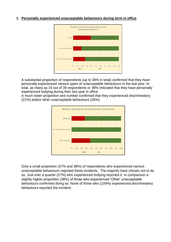# <span id="page-3-0"></span>**1. Personally experienced unacceptable behaviours during term in office**



A substantial proportion of respondents (up to 38% in total) confirmed that they have personally experienced various types of unacceptable behaviours in the last year. In total, as many as 15 out of 39 respondents or 38% indicated that they have personally experienced bullying during their last year in office.

A much lower proportion and number confirmed that they experienced discriminatory (21%) and/or other unacceptable behaviours (26%)



Only a small proportion (27% and 38%) of respondents who experienced various unacceptable behaviours reported these incidents. The majority have chosen not to do so. Just over a quarter (27%) who experienced bullying reported it. In comparison a slightly higher proportion (38%) of those who experienced 'Other' unacceptable behaviours confirmed doing so. None of those who (100%) experienced discriminatory behaviours reported the incident.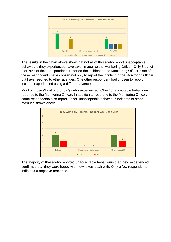

The results in the Chart above show that not all of those who report unacceptable behaviours they experienced have taken matter to the Monitoring Officer. Only 3 out of 4 or 75% of these respondents reported the incident to the Monitoring Officer. One of these respondents have chosen not only to report the incident to the Monitoring Officer but have resorted to other avenues. One other respondent had chosen to report incident experienced using a different avenue.

Most of those (2 out of 3 or 67%) who experienced 'Other' unacceptable behaviours reported to the Monitoring Officer. In addition to reporting to the Monitoring Officer, some respondents also report 'Other' unacceptable behaviour incidents to other avenues shown above.



The majority of those who reported unacceptable behaviours that they experienced confirmed that they were happy with how it was dealt with. Only a few respondents indicated a negative response.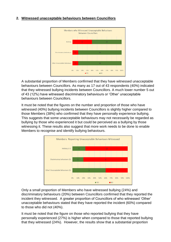# <span id="page-5-0"></span>**2. Witnessed unacceptable behaviours between Councillors**



A substantial proportion of Members confirmed that they have witnessed unacceptable behaviours between Councillors. As many as 17 out of 43 respondents (40%) indicated that they witnessed bullying incidents between Councillors. A much lower number 5 out of 43 (12%) have witnessed discriminatory behaviours or 'Other' unacceptable behaviours between Councillors.

It must be noted that the figures on the number and proportion of those who have witnessed (40%) bullying incidents between Councillors is slightly higher compared to those Members (38%) who confirmed that they have personally experience bullying. This suggests that some unacceptable behaviours may not necessarily be regarded as bullying by those who experienced it but could be perceived as a bullying by those witnessing it. These results also suggest that more work needs to be done to enable Members to recognise and identify bullying behaviours.



Only a small proportion of Members who have witnessed bullying (24%) and discriminatory behaviours (20%) between Councillors confirmed that they reported the incident they witnessed. A greater proportion of Councillors of who witnessed 'Other' unacceptable behaviours stated that they have reported the incident (60%) compared to those who did not (40%).

It must be noted that the figure on those who reported bullying that they have personally experienced (27%) is higher when compared to those that reported bullying that they witnessed (24%). However, the results show that a substantial proportion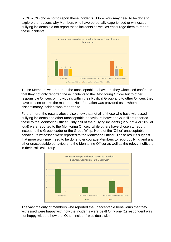(73% -76%) chose not to report these incidents. More work may need to be done to explore the reasons why Members who have personally experienced or witnessed bullying incidents did not report these incidents as well as encourage them to report these incidents.



Those Members who reported the unacceptable behaviours they witnessed confirmed that they not only reported these incidents to the Monitoring Officer but to other responsible Officers or individuals within their Political Group and to other Officers they have chosen to take the matter to. No information was provided as to whom the discriminatory incident was reported to.

Furthermore, the results above also show that not all of those who have witnessed bullying incidents and other unacceptable behaviours between Councillors reported these to the Monitoring Officer. Only half of the bullying incidents ( 2 out of 4 or 50% of total) were reported to the Monitoring Officer, while others have chosen to report instead to the Group leader or the Group Whip. None of the 'Other' unacceptable behaviours witnessed were reported to the Monitoring Officer. These results suggest that more work may need to be done to encourage Members to report bullying and any other unacceptable behaviours to the Monitoring Officer as well as the relevant officers in their Political Group.



The vast majority of members who reported the unacceptable behaviours that they witnessed were happy with how the incidents were dealt Only one (1) respondent was not happy with the how the 'Other' incident' was dealt with.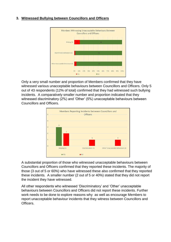# <span id="page-7-0"></span>**3. Witnessed Bullying between Councillors and Officers**



Only a very small number and proportion of Members confirmed that they have witnessed various unacceptable behaviours between Councillors and Officers. Only 5 out of 43 respondents (12% of total) confirmed that they had witnessed such bullying incidents. A comparatively smaller number and proportion indicated that they witnessed discriminatory (2%) and 'Other' (5%) unacceptable behaviours between Councillors and Officers.



A substantial proportion of those who witnessed unacceptable behaviours between Councillors and Officers confirmed that they reported these incidents. The majority of those (3 out of 5 or 60%) who have witnessed these also confirmed that they reported these incidents. A smaller number (2 out of 5 or 40%) stated that they did not report the incident they have witnessed.

All other respondents who witnessed 'Discriminatory' and 'Other' unacceptable behaviours between Councillors and Officers did not report these incidents. Further work needs to be done to explore reasons why as well as encourage Members to report unacceptable behaviour incidents that they witness between Councillors and Officers.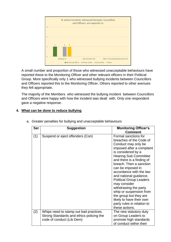

A small number and proportion of those who witnessed unacceptable behaviours have reported these to the Monitoring Officer and other relevant officers in their Political Group. More specifically only 1 who witnessed bullying incidents between Councillors and Officers reported this to the Monitoring Officer. Others reported to other avenues they felt appropriate.

The majority of the Members who witnessed the bullying incident between Councillors and Officers were happy with how the incident was dealt with. Only one respondent gave a negative response.

# <span id="page-8-0"></span>**4. What can be done to reduce bullying**

| <b>Ser</b> | <b>Suggestion</b>                                                                                               | <b>Monitoring Officer's</b><br><b>Comment</b>                                                                                                                                                                                                                                                                                                                                                                                                                                                           |
|------------|-----------------------------------------------------------------------------------------------------------------|---------------------------------------------------------------------------------------------------------------------------------------------------------------------------------------------------------------------------------------------------------------------------------------------------------------------------------------------------------------------------------------------------------------------------------------------------------------------------------------------------------|
| (1)        | Suspend or eject offenders (Con)                                                                                | Formal sanctions for<br>breaches of the Code of<br>Conduct may only be<br>imposed after a complaint<br>is considered by a<br><b>Hearing Sub Committee</b><br>and there is a finding of<br>breach. Then a sanction<br>can be imposed in<br>accordance with the law<br>and national guidance.<br><b>Political Group Leaders</b><br>may consider<br>withdrawing the party<br>whip or suspension from<br>the group but they are<br>likely to have their own<br>party rules in relation to<br>these actions. |
| (2)        | Whips need to stamp out bad practices.<br>Strong Standards and ethics policing the<br>code of conduct (Lib Dem) | The new statutory duty<br>on Group Leaders to<br>promote high standards<br>of conduct within their                                                                                                                                                                                                                                                                                                                                                                                                      |

a. Greater penalties for bullying and unacceptable behaviours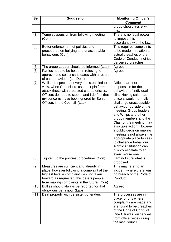| <b>Ser</b> | <b>Suggestion</b>                                                                         | <b>Monitoring Officer's</b>                           |
|------------|-------------------------------------------------------------------------------------------|-------------------------------------------------------|
|            |                                                                                           | <b>Comment</b>                                        |
|            |                                                                                           | group should assist with<br>this.                     |
| (3)        | Temp suspension from following meeting                                                    | There is no legal power                               |
|            | (Con)                                                                                     | to impose this in                                     |
|            |                                                                                           | accordance with the law.                              |
| (4)        | Better enforcement of policies and                                                        | This requires complaints                              |
|            | procedures on bullying and unacceptable<br>behaviours (Con)                               | to be made in relation to<br>actual breaches of the   |
|            |                                                                                           | Code of Conduct, not just                             |
|            |                                                                                           | perceived breaches.                                   |
| (5)        | The group Leader should be informed (Lab)                                                 | Agreed.                                               |
| (6)        | Parties need to be bolder in refusing to                                                  | Agreed.                                               |
|            | approve and select candidates with a record                                               |                                                       |
|            | of bad behaviour. (Lib Dem)                                                               |                                                       |
| (7)        | Whilst I respect that everyone is entitled to a                                           | Officers are not                                      |
|            | view, when Councillors use their platform to                                              | responsible for the                                   |
|            | attack those with protected characteristics,                                              | behaviour of individual                               |
|            | Officers do need to step in and I do feel that<br>my concerns have been ignored by Senior | cllrs. Having said that,<br>officers would normally   |
|            | Officers in the Council. (Lab)                                                            | challenge unacceptable                                |
|            |                                                                                           | behaviour outside of the                              |
|            |                                                                                           | meeting. Group leaders                                |
|            |                                                                                           | and Whips and other                                   |
|            |                                                                                           | group members and the                                 |
|            |                                                                                           | Chair of the meeting may                              |
|            |                                                                                           | also take action. However<br>a public decision making |
|            |                                                                                           | meeting is not always the                             |
|            |                                                                                           | appropriate place to seek                             |
|            |                                                                                           | to challenge behaviour.                               |
|            |                                                                                           | A difficult situation can                             |
|            |                                                                                           | quickly escalate to an                                |
|            |                                                                                           | even worse one.                                       |
| (8)        | Tighten up the policies /procedures (Con)                                                 | I am not sure what is<br>proposed.                    |
| (9)        | Measures are sufficient and already in                                                    | This may refer to an                                  |
|            | place, however following a complaint at the<br>highest level a complaint was not taken    | incident where there was<br>no breach of the Code of  |
|            | forward as requested. this deters people                                                  | Conduct.                                              |
|            | from making complaints in the future. (Con)                                               |                                                       |
| (10)       | Bullies should always be reported for that                                                | Agreed.                                               |
|            | obnoxious behaviour (Lab)                                                                 |                                                       |
| (11)       | Deal properly with persistent offenders                                                   | The processes are in                                  |
|            |                                                                                           | place for this where                                  |
|            |                                                                                           | complaints are made and                               |
|            |                                                                                           | are found to be breaches                              |
|            |                                                                                           | of the Code of Conduct.                               |
|            |                                                                                           | One Cllr was suspended                                |
|            |                                                                                           | from office twice during<br>the last Council          |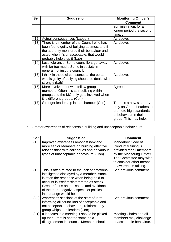| Ser  | <b>Suggestion</b>                                                                                                                                                                                                    | <b>Monitoring Officer's</b>                                                                                                      |
|------|----------------------------------------------------------------------------------------------------------------------------------------------------------------------------------------------------------------------|----------------------------------------------------------------------------------------------------------------------------------|
|      |                                                                                                                                                                                                                      | <b>Comment</b><br>administration, for a<br>longer period the second<br>time                                                      |
| (12) | Actual consequences (Labour)                                                                                                                                                                                         | As above.                                                                                                                        |
| (13) | There is a member of the Council who has<br>been found guilty of bullying at times, and if<br>the authority monitored their behaviour and<br>acted when it's unacceptable, that would<br>probably help stop it (Lab) | As above.                                                                                                                        |
| (14) | Less tolerance. Some councillors get away<br>with far too much. Same in society in<br>general not just the council.                                                                                                  | As above.                                                                                                                        |
| (15) | I think in those circumstances, the person<br>who is guilty of bullying should be dealt with<br>strongly (Lab)                                                                                                       | As above.                                                                                                                        |
| (16) | More involvement with fellow group<br>members. Often it is self-policing within<br>groups and the MO only gets involved when<br>it is different groups. (Con)                                                        | Agreed.                                                                                                                          |
| (17) | Stronger leadership in the chamber (Con)                                                                                                                                                                             | There is a new statutory<br>duty on Group Leaders to<br>promote high standards<br>of behaviour in their<br>group. This may help. |

# b. Greater awareness of relationship building and unacceptable behaviours

| Ser  | <b>Suggestion</b>                                                                                                                                                                                                                                                                                           | <b>Comment</b>                                                                                                                                                                   |
|------|-------------------------------------------------------------------------------------------------------------------------------------------------------------------------------------------------------------------------------------------------------------------------------------------------------------|----------------------------------------------------------------------------------------------------------------------------------------------------------------------------------|
| (18) | Improved awareness amongst new and<br>more senior Members on building effective<br>relationships with colleagues and on various<br>types of unacceptable behaviours. (Con)                                                                                                                                  | Mandatory Code of<br>Conduct training is<br>provided for all members<br>by the Monitoring Officer.<br>The Committee may wish<br>to consider other means<br>of awareness raising. |
| (19) | This is often related to the lack of emotional<br>intelligence displayed by a member. Attack<br>is often the response when being held to<br>account is itself misinterpreted as attack.<br>Greater focus on the issues and avoidance<br>of the more negative aspects of political<br>interchange would help | See previous comment.                                                                                                                                                            |
| (20) | Awareness sessions at the start of term<br>informing all councillors of acceptable and<br>not acceptable behaviours, reinforced by<br>group whips and leaders (Con)                                                                                                                                         | See previous comment.                                                                                                                                                            |
| (21) | If it occurs in a meeting it should be picked<br>up then - that is not the same as a<br>disagreement in council. Members should                                                                                                                                                                             | Meeting Chairs and all<br>members may challenge<br>unacceptable behaviour.                                                                                                       |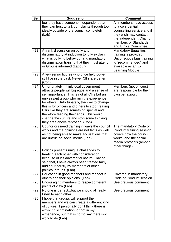| <b>Ser</b> | <b>Suggestion</b>                                                                                                                                                                                                                                                                                                                                                                                                                                                | <b>Comment</b>                                                                                                                                                                   |
|------------|------------------------------------------------------------------------------------------------------------------------------------------------------------------------------------------------------------------------------------------------------------------------------------------------------------------------------------------------------------------------------------------------------------------------------------------------------------------|----------------------------------------------------------------------------------------------------------------------------------------------------------------------------------|
|            | feel they have someone independent that<br>they can trust to talk complaints through too,<br>ideally outside of the council completely<br>(Lab)                                                                                                                                                                                                                                                                                                                  | All members have access<br>to a confidential<br>counselling service and if<br>they wish may contact<br>the Independent Chair or<br>members of Standards<br>and Ethics Committee. |
| (22)       | A frank discussion on bully and<br>discriminatory at induction to fully explain<br>what is bullying behaviour and mandatory<br>discrimination training that they must attend<br>or Groups informed (Labour)                                                                                                                                                                                                                                                      | <b>Mandatory Equalities</b><br>training is provided.<br>Unconscious bias training<br>is "recommended" and<br>available as an E-<br><b>Learning Module</b>                        |
| (23)       | A few senior figures who once held power<br>still live in the past. Newer Cllrs are better.<br>(Con)                                                                                                                                                                                                                                                                                                                                                             |                                                                                                                                                                                  |
| (24)       | Unfortunately I think local government<br>attracts people will big egos and a sense of<br>self importance. This is not all Cllrs but an<br>unpleasant group who ruin the experience<br>for others. Unfortunately, the way to change<br>this is for officers and others to stop treating<br>Cllrs like they are something special and<br>therefore feeding their egos. This would<br>change the culture and stop some thinking<br>they area above reproach. (Con) | Members (not officers)<br>are responsible for their<br>own behaviour.                                                                                                            |
| (25)       | Councillors need training in ways the council<br>works and the opinions are not facts as well<br>as not being able to make accusations that<br>are untrue on social media (Lab)                                                                                                                                                                                                                                                                                  | The mandatory Code of<br>Conduct training session<br>covers how the council<br>works, and the social<br>media protocols (among<br>other things).                                 |
| (26)       | Politics presents unique challenges to<br>treating each other with consideration,<br>because of It's adversarial nature. Having<br>said that, I have always been treated fairly<br>and courteously by members of other<br>political groups. (Lab)                                                                                                                                                                                                                |                                                                                                                                                                                  |
| (27)       | Education in good manners and respect in<br>others and their opinions. (Lab)                                                                                                                                                                                                                                                                                                                                                                                     | Covered in mandatory<br>Code of Conduct session.                                                                                                                                 |
| (28)       | Encouraging members to respect different<br>points of view (Lab)                                                                                                                                                                                                                                                                                                                                                                                                 | See previous comment.                                                                                                                                                            |
| (29)       | No one is perfectbut we should all really<br>listen to each other.                                                                                                                                                                                                                                                                                                                                                                                               | See previous comment.                                                                                                                                                            |
| (30)       | I hope that groups will support their<br>members and we can create a different kind<br>of culture. I personally don't think there is<br>explicit discrimination, or not in my<br>experience, but that is not to say there isn't<br>work to do (Lab)                                                                                                                                                                                                              |                                                                                                                                                                                  |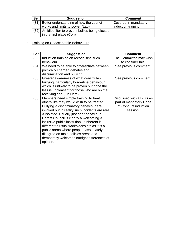| <b>Ser</b> | <b>Suggestion</b>                                     | <b>Comment</b>       |
|------------|-------------------------------------------------------|----------------------|
|            | $(31)$ Better understanding of how the council        | Covered in mandatory |
|            | works and limits to power (Lab)                       | induction training.  |
|            | (32) An idiot filter to prevent bullies being elected |                      |
|            | in the first place (Con)                              |                      |

# c. Training on Unacceptable Behaviours

| <b>Ser</b> | <b>Suggestion</b>                                                                                                                                                                                                                                                                                                                                                                                                                                                                                                   | <b>Comment</b>                                                                            |
|------------|---------------------------------------------------------------------------------------------------------------------------------------------------------------------------------------------------------------------------------------------------------------------------------------------------------------------------------------------------------------------------------------------------------------------------------------------------------------------------------------------------------------------|-------------------------------------------------------------------------------------------|
| (33)       | Induction training on recognising such<br>behaviour.                                                                                                                                                                                                                                                                                                                                                                                                                                                                | The Committee may wish<br>to consider this.                                               |
| (34)       | We need to be able to differentiate between<br>politically charged debates and<br>discrimination and bullying                                                                                                                                                                                                                                                                                                                                                                                                       | See previous comment.                                                                     |
| (35)       | Greater awareness of what constitutes<br>bullying, particularly borderline behaviour,<br>which is unlikely to be proven but none the<br>less is unpleasant for those who are on the<br>receiving end. (Lib Dem)                                                                                                                                                                                                                                                                                                     | See previous comment.                                                                     |
| (36)       | Members need simple training to treat<br>others like they would wish to be treated.<br>Bullying & discriminatory behaviour are<br>invoked but in reality such incidents are rare<br>& isolated. Usually just poor behaviour.<br>Cardiff Council is clearly a welcoming &<br>inclusive public institution. It inherent is<br>different to usual workplaces etc as it is a<br>public arena where people passionately<br>disagree on main policies areas and<br>democracy welcomes outright differences of<br>opinion. | Discussed with all cllrs as<br>part of mandatory Code<br>of Conduct induction<br>session. |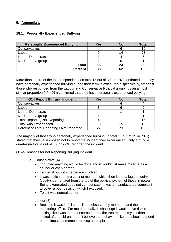# <span id="page-13-0"></span>**5. Appendix 1**

# <span id="page-13-1"></span>**18.1. Personally Experienced Bullying**

| <b>Personally Experienced Bullying</b> | Yes | <b>No</b> | Total |
|----------------------------------------|-----|-----------|-------|
| Conservatives                          |     |           |       |
| Labour                                 |     | 14        | 23    |
| <b>Liberal Democrats</b>               |     |           |       |
| Not Part of a group                    |     |           |       |
| Total                                  | 15  | 24        | 39    |
| <b>Percent</b>                         | 38  | 62        | 100   |

More than a third of the total respondents (in total 15 out of 39 or 38%) confirmed that they have personally experienced bullying during their term in office. More specifically, amongst those who responded from the Labour and Conservative Political groupings an almost similar proportion  $\left\langle \langle -40\% \rangle \right\rangle$  confirmed that they have personally experienced bullying.

| Q14 Report Bullying Incident               | Yes | <b>No</b> | <b>Total</b> |
|--------------------------------------------|-----|-----------|--------------|
| Conservatives                              |     |           |              |
| Labour                                     |     |           |              |
| <b>Liberal Democrats</b>                   |     |           |              |
| Not Part of a group                        |     |           |              |
| <b>Total Reporting/Not Reporting</b>       |     |           | 15           |
| <b>Total who Experienced</b>               | 15  | 15        | 15           |
| Percent of Total Reporting / Not Reporting | つフ  | 73        | 100          |

The majority of those who personally experienced bullying (in total 11 out of 15 or 73%) stated that they have chosen not to report the incident they experienced. Only around a quarter (in total 4 out of 15 or 27%) reported the incident

Q14a Reasons for not Reporting Bullying Incident

- a. Conservative (4)
	- I doubted anything would be done and it would just make my time as a councillor even harder
	- I sorted it out with the person involved
	- It was a stich up by a cabinet member which then led to a legal enquiry (costly) It emanated from the top of the political system of those in power. Being exonerated does not compensate. It was a manufactured complaint to cover a poor decision which I exposed.
	- Told it was normal banter
- b. Labour (5)
	- Because it was in full council and observed by members and the monitoring office. For me personally to challenge it would have risked looking like I was more concerned about the treatment of myself than looked after children. I don't believe that behaviour like that should depend on the impacted member making a complaint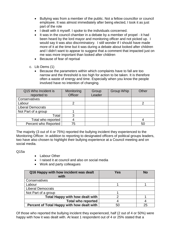- Bullying was from a member of the public. Not a fellow councillor or council employee. It was almost immediately after being elected, I took it as just part of the role
- I dealt with it myself. I spoke to the individuals concerned.
- It was in the council chamber in a debate by a member of propel it had been heard by the lord mayor and monitoring officer and not picked up. I would say it was also discriminatory. I still wonder if I should have made more of it at the time but it was during a debate about looked after children and I didn't want to appear to suggest that a comment that impacted just on me was more important than looked after children
- Because of fear of reprisal
- c. Lib Dems (1)
	- Because the parameters within which complaints have to fall are too narrow and the threshold is too high for action to be taken. It is therefore often a waste of energy and time. Especially when you know the people involved have no intention of changing.

| Q15 Who Incident is<br>reported to | Monitoring<br><b>Officer</b> | Group<br>Leader | Group Whip | Other |
|------------------------------------|------------------------------|-----------------|------------|-------|
| Conservatives                      |                              |                 |            |       |
| Labour                             |                              |                 |            |       |
| <b>Liberal Democrats</b>           |                              |                 |            |       |
| Not Part of a group                |                              |                 |            |       |
| Total                              |                              |                 |            |       |
| Total who reported                 |                              |                 |            |       |
| Percent who Reported               | 75                           |                 |            | 50    |

The majority (3 out of 4 or 75%) reported the bullying incident they experienced to the Monitoring Officer. In addition to reporting to designated officers of political groups leaders, two have also chosen to highlight their bullying experience at a Council meeting and on social media.

 $O15a$ 

- Labour Other
- I raised it at council and also on social media
- Work and party colleagues

| Q16 Happy with how incident was dealt<br>with | <b>Yes</b> | <b>No</b> |
|-----------------------------------------------|------------|-----------|
| Conservatives                                 |            |           |
| Labour                                        |            |           |
| <b>Liberal Democrats</b>                      |            |           |
| Not Part of a group                           |            |           |
| <b>Total Happy with how dealt with</b>        |            |           |
| <b>Total who reported</b>                     |            |           |
| Percent of Total Happy with how dealt with    | 50         | 25        |

Of those who reported the bullying incident they experienced, half (2 out of 4 or 50%) were happy with how it was dealt with. At least 1 respondent out of 4 or 25% stated that a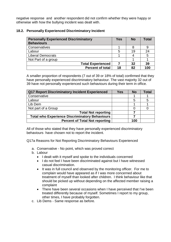negative response and another respondent did not confirm whether they were happy or otherwise with how the bullying incident was dealt with.

#### <span id="page-15-0"></span>**18.2. Personally Experienced Discriminatory Incident**

| <b>Personally Experienced Discriminatory</b><br><b>Behaviours</b> | Yes | <b>No</b> | <b>Total</b> |
|-------------------------------------------------------------------|-----|-----------|--------------|
| Conservatives                                                     |     |           |              |
| Labour                                                            | 5   | 19        | 24           |
| <b>Liberal Democrats</b>                                          |     | 4         | 5            |
| Not Part of a group                                               |     |           |              |
| <b>Total Experienced</b>                                          |     | 32        | 39           |
| <b>Percent of total</b>                                           | 18  | 82        | 100          |

A smaller proportion of respondents (7 out of 39 or 18% of total) confirmed that they have personally experienced discriminatory behaviour. The vast majority 32 out of 39 have not personally experienced such behaviours during their term in office.

| Q17 Report Discriminatory Incident Experienced        | Yes | <b>No</b> | <b>Total</b> |
|-------------------------------------------------------|-----|-----------|--------------|
| Conservative                                          |     |           |              |
| Labour                                                |     | 5         | 5            |
| Lib Dem                                               |     |           |              |
| Not part of a Group                                   |     |           |              |
| <b>Total Not reporting</b>                            |     |           |              |
| <b>Total who Experience Discriminatory Behaviours</b> |     |           |              |
| <b>Percent of Total Not reporting</b>                 |     | 100       |              |

All of those who stated that they have personally experienced discriminatory behaviours have chosen not to report the incident.

Q17a Reasons for Not Reporting Discriminatory Behaviours Experienced

- a. Conservative No point, which was proved correct
- b. Labour
	- I dealt with it myself and spoke to the individuals concerned
	- I do not feel I have been discriminated against but I have witnessed casual discrimination.
	- It was in full council and observed by the monitoring officer. For me to complain would have appeared as if I was more concerned about treatment of myself than looked after children. I think behaviour like that should be picked up without depending on the affected member raising a complaint
	- There have been several occasions when I have perceived that I've been treated differently because of myself. Sometimes I report to my group, other times, I have probably forgotten.
- c. Lib Dems Same response as before.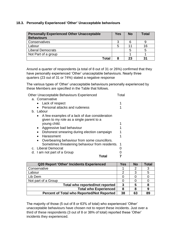# <span id="page-16-0"></span>**18.3. Personally Experienced 'Other' Unacceptable behaviours**

| <b>Personally Experienced Other Unacceptable</b><br><b>Behaviours</b> | Yes | <b>No</b> | Total |
|-----------------------------------------------------------------------|-----|-----------|-------|
| Conservatives                                                         | 3   |           |       |
| Labour                                                                | 5   | 11        | 16    |
| <b>Liberal Democrats</b>                                              |     | 5         |       |
| Not Part of a group                                                   |     |           |       |
| Total                                                                 |     | 23        | 31    |

Around a quarter of respondents (a total of 8 out of 31 or 26%) confirmed that they have personally experienced 'Other' unacceptable behaviours. Nearly three quarters (23 out of 31 or 74%) stated a negative response

The various types of 'Other' unacceptable behaviours personally experienced by these Members are specified in the Table that follows.

| Other Unacceptable Behaviours Experienced       | Total |
|-------------------------------------------------|-------|
| a. Conservative                                 |       |
| Lack of respect                                 |       |
| Personal attacks and rudeness                   |       |
| b. Labour                                       |       |
| • A few examples of a lack of due consideration |       |
| given to my role as a single parent to a        |       |
| young child.                                    |       |
| Aggressive bad behaviour                        |       |
| Dishonest smearing during election campaign     |       |
| Harassment                                      |       |
| Overbearing behaviour from some councillors.    |       |
| Sometimes threatening behaviour from residents. | -1    |
| c. Liberal Democrat                             |       |
| d. I am not part of a Group                     |       |
| I otal                                          |       |

| <b>Q20 Report 'Other' Incidents Experienced</b>   | Yes | <b>No</b> | Total |
|---------------------------------------------------|-----|-----------|-------|
| Conservative                                      |     |           | 3     |
| Labour                                            |     | З         | 5     |
| Lib Dem                                           |     |           |       |
| Not part of a Group                               |     |           |       |
| Total who reported/not reported                   | 3   | 5         | 8     |
| <b>Total who Experienced</b>                      | 8   | 8         | 9     |
| <b>Percent of Total who Reported/Not Reported</b> | 38  | 63        | 89    |

The majority of those (5 out of 8 or 63% of total) who experienced 'Other' unacceptable behaviours have chosen not to report these incidents. Just over a third of these respondents (3 out of 8 or 38% of total) reported these 'Other' incidents they experienced.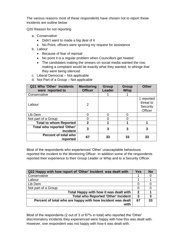The various reasons most of these respondents have chosen not to report these incidents are outline below

Q20 Reason for not reporting

- a. Conservative
	- Didn't want to made a big deal of it
	- No Point, officers were ignoring my request for assistance
- b. Labour
	- Because of fear of reprisal
	- No point it is a regular problem when Councillors get heated
	- The candidates making the smears on social media wanted the row, making a complaint would be exactly what they wanted, to whinge that they were being silenced
- c. Liberal Democrat Not applicable
- d. Not Part of a Group Not applicable

| Q21 Who 'Other' Incidents<br>were reported to        | <b>Monitoring</b><br><b>Officer</b> | Group<br><b>Leader</b> | Group<br><b>Whip</b> | <b>Other</b>                                   |
|------------------------------------------------------|-------------------------------------|------------------------|----------------------|------------------------------------------------|
| Conservative                                         |                                     |                        |                      |                                                |
| Labour                                               | $\overline{2}$                      |                        |                      | 1 reported<br>threat to<br>Security<br>Officer |
| Lib Dem                                              |                                     | 0                      | 0                    |                                                |
| Not part of a Group                                  |                                     | O                      |                      |                                                |
| <b>Total to whom Reported</b>                        | $\overline{2}$                      | 4                      |                      |                                                |
| <b>Total who reported 'Other'</b><br><b>Incident</b> | 3                                   | 3                      | 3                    | 3                                              |
| Percent of total who<br>reported                     | 67                                  | 33                     | 33                   | 33                                             |

Most of the respondents who experienced 'Other' unacceptable behaviours reported the incident to the Monitoring Officer. In addition some of the respondents reported their experience to their Group Leader or Whip and to a Security Officer.

| Q22 Happy with how report of 'Other' Incident was dealt with | <b>Yes</b>     | <b>No</b> |
|--------------------------------------------------------------|----------------|-----------|
| Conservative                                                 |                |           |
| Labour                                                       |                |           |
| Lib Dem                                                      |                |           |
| Not part of a Group                                          |                |           |
| Total Happy with how it was dealt with                       | $\overline{2}$ |           |
| <b>Total who Reported 'Other' Incident</b>                   | 3              | 3         |
| Percent of total who are happy with how Incident was dealt   | 67             | 33        |
| with                                                         |                |           |

Most of the respondents (2 out of 3 or 67% in total) who reported the 'Other' discriminatory incidents they experienced were happy with how this was dealt with. However, one respondent was not happy with how it was dealt with.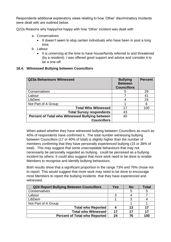Respondents additional explanatory views relating to how 'Other' discriminatory incidents were dealt with are outlined below.

Q22a Reasons why happy/not happy with how 'Other' incident was dealt with

- a. Conservatives
	- It doesn't seem to stop certain individuals who have been in post a long time
- b. Labour
	- It is unnerving at the time to have house/family referred to and threatened (by a resident). I was offered good support and advice and consider it to be a one-off.

#### <span id="page-18-0"></span>**18.4. Witnessed Bullying between Councillors**

| Q23a Behaviours Witnessed                              | <b>Bullying</b><br><b>Between</b><br><b>Councillors</b> | <b>Percent</b> |
|--------------------------------------------------------|---------------------------------------------------------|----------------|
| Conservatives                                          | 5                                                       | 29             |
| Labour                                                 |                                                         | 41             |
| LibDem                                                 | 4                                                       | 24             |
| Not Part of A Group                                    |                                                         | 6              |
| <b>Total Who Witnessed</b>                             | 17                                                      | 100            |
| <b>Total Survey respondents</b>                        | 43                                                      |                |
| <b>Percent of Total who Witnessed Bullying between</b> | 40                                                      |                |
| <b>Councillors</b>                                     |                                                         |                |

When asked whether they have witnessed bullying between Councillors as much as 40% of respondents have confirmed it. The total number witnessing bullying between Councillors (17 or 40% of total) is slightly higher than the number of members confirming that they have personally experienced bullying (15 or 38% of total). This may suggest that some unacceptable behaviours that may not necessarily be personally regarded as bullying could be perceived as a bullying incident by others. It could also suggest that more work need to be done to enable Members to recognise and identify bullying behaviours.

Both results show that a significant proportion in the range 73% and 76% chose not to report. This would suggest that more work may need to be done to encourage most Members to report the bullying incidents that they have experienced and witnessed.

| <b>Q24 Report Bullying Between Councillors</b> | Yes | <b>No</b> | Total |
|------------------------------------------------|-----|-----------|-------|
| Conservatives                                  |     |           | 5     |
| Labour                                         |     |           |       |
| LibDem                                         |     |           |       |
| Not Part of A Group                            |     |           |       |
| <b>Total who Reported</b>                      |     | 13        | 17    |
| <b>Total who Witnessed</b>                     | 17  | 17        | 17    |
| <b>Percent of Total who Reported</b>           | 24  | 76        | 100   |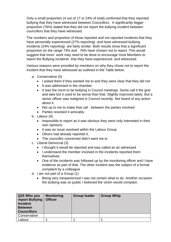Only a small proportion (4 out of 17 or 24% of total) confirmed that they reported bullying that they have witnessed between Councillors. A significantly bigger proportion (76%) stated that they did not report the bullying incident between councillors that they have witnessed.

The numbers and proportion of those reported and not reported incidents that they have personally experienced (27% reporting) and have witnessed bullying incidents (24% reporting) are fairly similar. Both results show that a significant proportion (in the range 73% and 76% have chosen not to report. This would suggest that more work may need to be done to encourage most Members to report the Bullying incidents that they have experienced and witnessed.

Various reasons were provided by members on why they chose not to report the incident that they have witnessed as outlined in the Table below:

- a. Conservative (5)
	- I asked them if they wanted me to and they were clear that they did not
	- It was addressed in the chamber
	- It was the norm to be bullying in Council meetings. Some call it the give and take but it used to be worse than that. Slightly improved lately. But a senior officer was maligned in Council recently. Not heard of any action about it.
	- Not up to me to make that call between the parties involved
	- Parties resolved it amicably
- b. Labour (4)
	- Impossible to report as it was obvious they were only interested in their own opinions
	- It was an issue resolved within the Labour Group
	- Others had already reported it.
	- The councillor concerned didn't want me to
- c. Liberal Democrat (3)
	- I thought it would be reported and was called as an witnessed
	- I understand the member involved in the incidents reported them themselves.
	- One of the incidents was followed up by the monitoring officer and I have evidence as part of that. The other incident was the subject of a formal complaint by a colleague
- d. I am not part of a Group (1)
	- Being very inexperienced I was not certain what to do. Another occasion the bullying was so public I believed the victim would complain.

| Q25 Who you<br>report Bullying<br><b>Incident</b><br><b>Between</b><br><b>Councillors</b> | <b>Monitoring</b><br><b>Officer</b> | <b>Group leader</b> | <b>Group Whip</b> |
|-------------------------------------------------------------------------------------------|-------------------------------------|---------------------|-------------------|
| Conservative                                                                              |                                     |                     |                   |
| Labour                                                                                    |                                     |                     |                   |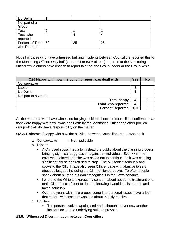| Lib Dems              |   |    |    |
|-----------------------|---|----|----|
| Not part of a         |   |    |    |
| Group                 |   |    |    |
| Total                 | n |    |    |
| Total who             | 4 |    | 4  |
| reported              |   |    |    |
| Percent of Total   50 |   | 25 | 25 |
| who Reported          |   |    |    |

Not all of those who have witnessed bullying incidents between Councillors reported this to the Monitoring Officer. Only half (2 out of 4 or 50% of total) reported to the Monitoring Officer while others have chosen to report to either the Group leader or the Group Whip.

| Q26 Happy with how the bullying report was dealt with | <b>Yes</b> | <b>No</b> |
|-------------------------------------------------------|------------|-----------|
| Conservative                                          |            |           |
| Labour                                                | 3          |           |
| Lib Dems                                              |            |           |
| Not part of a Group                                   |            |           |
| <b>Total happy</b>                                    | 4          |           |
| <b>Total who reported</b>                             | 4          |           |
| <b>Percent Reported</b>                               | 100        |           |

All the members who have witnessed bullying incidents between councillors confirmed that they were happy with how it was dealt with by the Monitoring Officer and other political group official who have responsibility on the matter.

Q26A Elaborate if happy with how the bullying between Councillors report was dealt

- a. Conservative Not applicable
- b. Labour
	- A Cllr used social media to mislead the public about the planning process bringing significant aggression against an individual. Even when her error was pointed and she was asked not to continue, as it was causing significant abuse she refused to stop. The MO took it seriously and spoke to the Cllr. I have also seen Cllrs engage with abusive tweets about colleagues including the Cllr mentioned above. To often people speak about bullying but don't recognise it in their own conduct.
	- I wrote to the Whip to express my concern about about the treatment of a male Cllr. I felt confident to do that, knowing I would be listened to and taken seriously.
	- Over the years within big groups some interpersonal issues have arisen that either I witnessed or was told about. Mostly resolved.
- c. Lib Dem
	- The person involved apologised and although I never saw another incident occur, the underlying attitude prevails.

# <span id="page-20-0"></span>**18.5. Witnessed Discrimination between Councillors**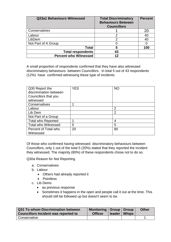| <b>Q23a1 Behaviours Witnessed</b> | <b>Total Discriminatory</b><br><b>Behaviours Between</b><br><b>Councillors</b> | <b>Percent</b> |
|-----------------------------------|--------------------------------------------------------------------------------|----------------|
| Conservatives                     |                                                                                | 20             |
| Labour                            |                                                                                | 40             |
| LibDem                            |                                                                                | 40             |
| Not Part of A Group               |                                                                                |                |
| Total                             | 5                                                                              | 100            |
| <b>Total respondents</b>          | 43                                                                             |                |
| <b>Percent who Witnessed</b>      | 12                                                                             |                |

A small proportion of respondents confirmed that they have also witnessed discriminatory behaviours between Councillors. In total 5 out of 43 respondents (12%) have confirmed witnessing these type of incidents.

| Q30 Report the             | <b>YES</b> | <b>NO</b>      |
|----------------------------|------------|----------------|
| discrimination between     |            |                |
| Councillors that you       |            |                |
| witnessed                  |            |                |
| Conservatives              |            |                |
| Labour                     |            | $\overline{2}$ |
| Lib Dem                    |            | $\overline{2}$ |
| Not Part of a Group        |            |                |
| <b>Total who Reported</b>  |            | 4              |
| <b>Total who Witnessed</b> | 5          | 5              |
| Percent of Total who       | 20         | 80             |
| Witnessed                  |            |                |

Of those who confirmed having witnessed discriminatory behaviours between Councillors, only 1 out of the total 5 (20%) stated that they reported the incident they witnessed. The majority (80%) of these respondents chose not to do so.

Q30a Reason for Not Reporting

- a. Conservatives
- b. Labour
	- Others had already reported it
	- Pointless
- c. Lib Dems
	- as previous response
	- Sometimes it happens in the open and people call it out at the time. This should still be followed up but doesn't seem to be.

| Q31 To whom Discrimination between<br><b>Councillors Incident was reported to</b> | Monitoring   Group   Group<br><b>Officer</b> | $leader$   Whips | <b>Other</b> |
|-----------------------------------------------------------------------------------|----------------------------------------------|------------------|--------------|
| Conservative                                                                      |                                              |                  |              |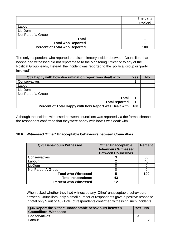|                                      | The party<br>involved |
|--------------------------------------|-----------------------|
| Labour                               |                       |
| Lib Dem                              |                       |
| Not Part of a Group                  |                       |
| Total                                |                       |
| <b>Total who Reported</b>            |                       |
| <b>Percent of Total who Reported</b> | 100                   |

The only respondent who reported the discriminatory incident between Councillors that he/she had witnessed did not report these to the Monitoring Officer or to any of the Political Group leads, Instead the incident was reported to the political group or 'party involved'

| Q32 happy with how discrimination report was dealt with | <b>Yes</b> | <b>No</b> |
|---------------------------------------------------------|------------|-----------|
| Conservatives                                           |            |           |
| Labour                                                  |            |           |
| Lib Dem                                                 |            |           |
| Not Part of a Group                                     |            |           |
| <b>Total</b>                                            |            |           |
| <b>Total reported</b>                                   |            |           |
| Percent of Total Happy with how Report was Dealt with   | 100        |           |

Although the incident witnessed between councillors was reported via the formal channel, the respondent confirmed that they were happy with how it was dealt with.

# <span id="page-22-0"></span>**18.6. Witnessed 'Other' Unacceptable behaviours between Councillors**

| <b>Q23 Behaviours Witnessed</b> | <b>Other Unacceptable</b><br><b>Behaviours Witnessed</b><br><b>Between Councillors</b> | <b>Percent</b> |
|---------------------------------|----------------------------------------------------------------------------------------|----------------|
| Conservatives                   |                                                                                        | 60             |
| Labour                          |                                                                                        | 40             |
| LibDem                          |                                                                                        |                |
| Not Part of A Group             |                                                                                        |                |
| <b>Total who Witnessed</b>      | 5                                                                                      | 100            |
| <b>Total respondents</b>        | 43                                                                                     |                |
| <b>Percent who Witnessed</b>    | 12                                                                                     |                |

When asked whether they had witnessed any 'Other' unacceptable behaviours between Councillors, only a small number of respondents gave a positive response. In total only 5 out of 43 (12%) of respondents confirmed witnessing such incidents.

| Q36 Report the 'Other' unacceptable behaviours between<br><b>Councillors Witnessed</b> | <b>Yes</b> | <b>No</b> |
|----------------------------------------------------------------------------------------|------------|-----------|
| Conservatives                                                                          |            |           |
| Labour                                                                                 |            |           |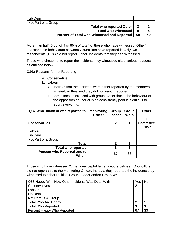| Lib Dem                                            |    |  |
|----------------------------------------------------|----|--|
| Not Part of a Group                                |    |  |
| <b>Total who reported Other</b>                    |    |  |
| <b>Total who Witnessed</b>                         | 5  |  |
| <b>Percent of Total who Witnessed and Reported</b> | 60 |  |

More than half (3 out of 5 or 60% of total) of those who have witnessed 'Other' unacceptable behaviours between Councillors have reported it. Only two respondents (40%) did not report 'Other' incidents that they had witnessed.

Those who chose not to report the incidents they witnessed cited various reasons as outlined below.

Q36a Reasons for not Reporting

- a. Conservative
- b. Labour
	- I believe that the incidents were either reported by the members targeted, or they said they did not want it reported
	- Sometimes I discussed with group. Other times, the behaviour of one opposition councillor is so consistently poor it is difficult to report everything.

| Q37 Who Incident was reported to    | <b>Monitoring</b><br><b>Officer</b> | Group<br>leader | Group<br>Whip | <b>Other</b>       |
|-------------------------------------|-------------------------------------|-----------------|---------------|--------------------|
| Conservatives                       |                                     | 2               | 1             | Committee<br>Chair |
| Labour                              |                                     |                 |               |                    |
| Lib Dem                             |                                     |                 |               |                    |
| Not Part of a Group                 |                                     |                 |               |                    |
| <b>Total</b>                        |                                     | $\mathbf 2$     |               |                    |
| <b>Total who reported</b>           |                                     | 3               | 3             |                    |
| Percent who Reported and to<br>Whom |                                     | 67              | 33            |                    |

Those who have witnessed 'Other' unacceptable behaviours between Councillors did not report this to the Monitoring Officer. Instead, they reported the incidents they witnessed to either Political Group Leader and/or Group Whip

| Q38 Happy With How Other Incidents Was Dealt With | Yes | No |
|---------------------------------------------------|-----|----|
| Conservatives                                     | ႒   |    |
| Labour                                            |     |    |
| Lib Dem                                           |     |    |
| Not Part Of A Group                               |     |    |
| <b>Total Who Are Happy</b>                        | ົ   |    |
| <b>Total Who Reported</b>                         | З   | 3  |
| Percent Happy Who Reported                        | 67  | 33 |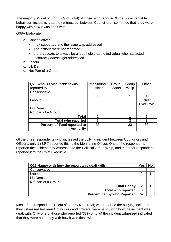The majority (2 out of 3 or 67% of Total) of those who reported 'Other' unacceptable behaviour incidents that they witnessed between Councillors confirmed that they were happy with how it was dealt with.

Q38A Elaborate

- a. Conservatives
	- I felt supported and the issue was addressed
	- The actions were not repeated.
	- there appears to always be a loop hole that the individual who has acted incorrectly doesn't get addressed.
- b. Labour
- c. Lib Dem
- d. Not Part of a Group

| Q28 Who Bullying Incident was       | Monitoring | Group  | Group | Other     |
|-------------------------------------|------------|--------|-------|-----------|
| reported to                         | Officer    | Leader | Whip  |           |
| Conservative                        |            |        |       |           |
|                                     |            |        |       |           |
| Labour                              |            |        |       | Chief     |
|                                     |            |        |       | Executive |
| Lib Dems                            |            |        |       |           |
| Not part of a Group                 |            |        |       |           |
| <b>Total</b>                        |            |        |       |           |
| <b>Total who reported</b>           | 3          |        | 3     | 3         |
| <b>Percent of Total reported to</b> | 33         |        | 33    | 33        |
| <b>Authority</b>                    |            |        |       |           |

Of the three respondents who witnessed the bullying incident between Councillors and Officers, only 1 (33%) reported this to the Monitoring Officer. One of the respondents reported the incident they witnessed to the Political Group Whip, and the other respondent reported it to the Chief Executive.

| Q29 Happy with how the report was dealt with | <b>Yes</b> | <b>No</b> |
|----------------------------------------------|------------|-----------|
| Conservative                                 |            |           |
| Labour                                       | 2          |           |
| Lib Dems                                     |            |           |
| Not part of a Group                          |            |           |
| <b>Total Happy</b>                           | 2          |           |
| <b>Total who reported</b>                    | 3          | 3         |
| <b>Percent happy who Reported</b>            | 67         | 33        |

Most of the respondents (2 out of 3 or 67% of Total) who reported the bullying incidents they witnessed between Councillors and Officers were happy with how the incident was dealt with. Only one of those who reported (33% of total) the incident witnessed indicated that they were not happy with how it was dealt with.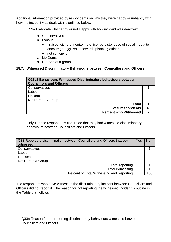Additional information provided by respondents on why they were happy or unhappy with how the incident was dealt with is outlined below.

Q29a Elaborate why happy or not Happy with how incident was dealt with

- a. Conservatives
- b. Labour
	- I raised with the monitoring officer persistent use of social media to encourage aggression towards planning officers
	- not sufficient
- c. Lib Dems
- d. Not part of a group

# <span id="page-25-0"></span>**18.7. Witnessed Discriminatory Behaviours between Councillors and Officers**

| Q23a1 Behaviours Witnessed Discriminatory behaviours between<br><b>Councillors and Officers</b> |    |
|-------------------------------------------------------------------------------------------------|----|
| Conservatives                                                                                   |    |
| Labour                                                                                          |    |
| LibDem                                                                                          |    |
| Not Part of A Group                                                                             |    |
| <b>Total</b>                                                                                    |    |
| <b>Total respondents</b>                                                                        | 43 |
| <b>Percent who Witnessed</b>                                                                    |    |

Only 1 of the respondents confirmed that they had witnessed discriminatory behaviours between Councillors and Officers

| Q33 Report the discrimination between Councillors and Officers that you<br>witnessed | Yes | <b>No</b> |
|--------------------------------------------------------------------------------------|-----|-----------|
| Conservatives                                                                        |     |           |
| Labour                                                                               |     |           |
| Lib Dem                                                                              |     |           |
| Not Part of a Group                                                                  |     |           |
| Total reporting                                                                      |     |           |
| <b>Total Witnessing</b>                                                              |     |           |
| Percent of Total Witnessing and Reporting                                            |     | 100       |

The respondent who have witnessed the discriminatory incident between Councillors and Officers did not report it. The reason for not reporting the witnessed incident is outline in the Table that follows.

Q33a Reason for not reporting discriminatory behaviours witnessed between Councillors and Officers